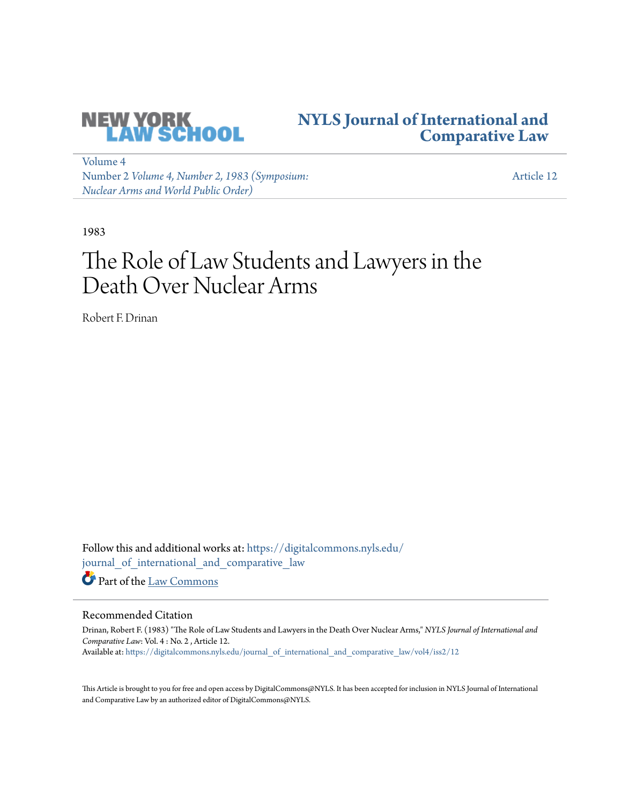

# **[NYLS Journal of International and](https://digitalcommons.nyls.edu/journal_of_international_and_comparative_law?utm_source=digitalcommons.nyls.edu%2Fjournal_of_international_and_comparative_law%2Fvol4%2Fiss2%2F12&utm_medium=PDF&utm_campaign=PDFCoverPages) [Comparative Law](https://digitalcommons.nyls.edu/journal_of_international_and_comparative_law?utm_source=digitalcommons.nyls.edu%2Fjournal_of_international_and_comparative_law%2Fvol4%2Fiss2%2F12&utm_medium=PDF&utm_campaign=PDFCoverPages)**

[Volume 4](https://digitalcommons.nyls.edu/journal_of_international_and_comparative_law/vol4?utm_source=digitalcommons.nyls.edu%2Fjournal_of_international_and_comparative_law%2Fvol4%2Fiss2%2F12&utm_medium=PDF&utm_campaign=PDFCoverPages) Number 2 *[Volume 4, Number 2, 1983 \(Symposium:](https://digitalcommons.nyls.edu/journal_of_international_and_comparative_law/vol4/iss2?utm_source=digitalcommons.nyls.edu%2Fjournal_of_international_and_comparative_law%2Fvol4%2Fiss2%2F12&utm_medium=PDF&utm_campaign=PDFCoverPages) [Nuclear Arms and World Public Order\)](https://digitalcommons.nyls.edu/journal_of_international_and_comparative_law/vol4/iss2?utm_source=digitalcommons.nyls.edu%2Fjournal_of_international_and_comparative_law%2Fvol4%2Fiss2%2F12&utm_medium=PDF&utm_campaign=PDFCoverPages)*

[Article 12](https://digitalcommons.nyls.edu/journal_of_international_and_comparative_law/vol4/iss2/12?utm_source=digitalcommons.nyls.edu%2Fjournal_of_international_and_comparative_law%2Fvol4%2Fiss2%2F12&utm_medium=PDF&utm_campaign=PDFCoverPages)

1983

# The Role of Law Students and Lawyers in the Death Over Nuclear Arms

Robert F. Drinan

Follow this and additional works at: [https://digitalcommons.nyls.edu/](https://digitalcommons.nyls.edu/journal_of_international_and_comparative_law?utm_source=digitalcommons.nyls.edu%2Fjournal_of_international_and_comparative_law%2Fvol4%2Fiss2%2F12&utm_medium=PDF&utm_campaign=PDFCoverPages) [journal\\_of\\_international\\_and\\_comparative\\_law](https://digitalcommons.nyls.edu/journal_of_international_and_comparative_law?utm_source=digitalcommons.nyls.edu%2Fjournal_of_international_and_comparative_law%2Fvol4%2Fiss2%2F12&utm_medium=PDF&utm_campaign=PDFCoverPages) Part of the [Law Commons](http://network.bepress.com/hgg/discipline/578?utm_source=digitalcommons.nyls.edu%2Fjournal_of_international_and_comparative_law%2Fvol4%2Fiss2%2F12&utm_medium=PDF&utm_campaign=PDFCoverPages)

## Recommended Citation

Drinan, Robert F. (1983) "The Role of Law Students and Lawyers in the Death Over Nuclear Arms," *NYLS Journal of International and Comparative Law*: Vol. 4 : No. 2 , Article 12. Available at: [https://digitalcommons.nyls.edu/journal\\_of\\_international\\_and\\_comparative\\_law/vol4/iss2/12](https://digitalcommons.nyls.edu/journal_of_international_and_comparative_law/vol4/iss2/12?utm_source=digitalcommons.nyls.edu%2Fjournal_of_international_and_comparative_law%2Fvol4%2Fiss2%2F12&utm_medium=PDF&utm_campaign=PDFCoverPages)

This Article is brought to you for free and open access by DigitalCommons@NYLS. It has been accepted for inclusion in NYLS Journal of International and Comparative Law by an authorized editor of DigitalCommons@NYLS.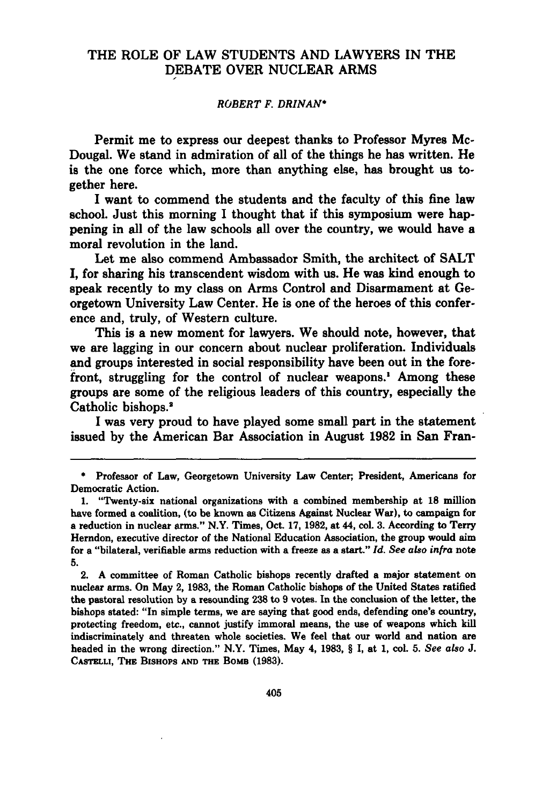### THE ROLE OF LAW STUDENTS AND LAWYERS **IN** THE **DEBATE** OVER **NUCLEAR** ARMS

#### *ROBERT F. DRINAN\**

Permit me to express our deepest thanks to Professor Myres Mc-Dougal. We stand in admiration of all of the things he has written. He is the one force which, more than anything else, has brought us together here.

I want to commend the students and the faculty of this fine law school. Just this morning **I** thought that if this symposium were happening in all of the law schools all over the country, we would have a moral revolution in the land.

Let me also commend Ambassador Smith, the architect of **SALT** I, for sharing his transcendent wisdom with us. He was kind enough to speak recently to my class on Arms Control and Disarmament at Georgetown University Law Center. He is one of the heroes of this conference and, truly, of Western culture.

This is a new moment for lawyers. We should note, however, that we are lagging in our concern about nuclear proliferation. Individuals and groups interested in social responsibility have been out in the forefront, struggling for the control of nuclear weapons.' Among these groups are some of the religious leaders of this country, especially the Catholic bishops.<sup>2</sup>

I was very proud to have played some small part in the statement issued by the American Bar Association in August **1982** in San Fran-

2. **A** committee of Roman Catholic bishops recently drafted a major statement on nuclear arms. On May 2, **1983,** the Roman Catholic bishops of the United States ratified the pastoral resolution **by** a resounding **238** to **9** votes. In the conclusion of the letter, the bishops stated: "In simple terms, we are saying that good ends, defending one's country, protecting freedom, etc., cannot justify immoral means, the use of weapons which kill indiscriminately and threaten whole societies. We feel that our world and nation are headed in the wrong direction." N.Y. Times, May 4, **1983,** § I, at 1, col. **5.** *See also J.* **CASTELLI, THE BISHOPS AND THE BoMB (1983).**

**<sup>\*</sup>** Professor of Law, Georgetown University Law Center; President, Americans for Democratic Action.

<sup>1. &</sup>quot;Twenty-six national organizations with a combined membership at **18** million have formed a coalition, (to be known as Citizens Against Nuclear War), to campaign for a reduction in nuclear arms." N.Y. Times, Oct. **17, 1982,** at 44, col. **3.** According to Terry Herndon, executive director of the National Education Association, the group would aim for a "bilateral, verifiable arms reduction with a freeze as a start." *Id. See also infra* **note 5.**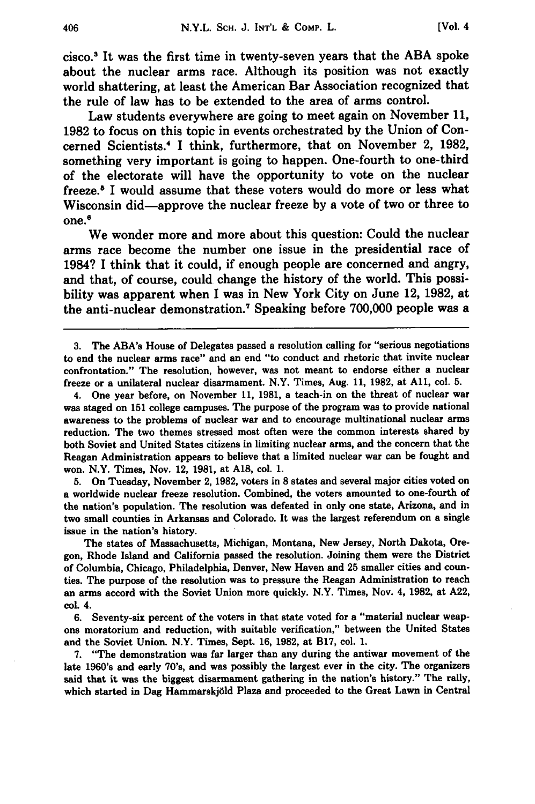cisco.3 It was the first time in twenty-seven years that the ABA spoke about the nuclear arms race. Although its position was not exactly world shattering, at least the American Bar Association recognized that the rule of law has to be extended to the area of arms control.

Law students everywhere are going to meet again on November **11, 1982** to focus on this topic in events orchestrated **by** the Union of Concerned Scientists.4 I think, furthermore, that on November 2, **1982,** something very important is going to happen. One-fourth to one-third of the electorate will have the opportunity to vote on the nuclear freeze.<sup>5</sup> I would assume that these voters would do more or less what Wisconsin did-approve the nuclear freeze **by** a vote of two or three to  $one.<sup>6</sup>$ 

We wonder more and more about this question: Could the nuclear arms race become the number one issue in the presidential race of 1984? **I** think that it could, if enough people are concerned and angry, and that, of course, could change the history of the world. This possibility was apparent when I was in New York City on June 12, **1982,** at the anti-nuclear demonstration.7 Speaking before **700,000** people was a

4. One year before, on November **11, 1981,** a teach-in on the threat of nuclear war was staged on **151** college campuses. The purpose of the program was to provide national awareness to the problems of nuclear war and to encourage multinational nuclear arms reduction. The two themes stressed most often were the common interests shared **by** both Soviet and United States citizens in limiting nuclear arms, and the concern that the Reagan Administration appears to believe that a limited nuclear war can be fought and won. N.Y. Times, Nov. 12, **1981,** at **A18,** col. **1.**

**5.** On Tuesday, November 2, **1982,** voters in **8** states and several major cities voted on a worldwide nuclear freeze resolution. Combined, the voters amounted to one-fourth of the nation's population. The resolution was defeated in only one state, Arizona, and in two small counties in Arkansas and Colorado. It was the largest referendum on a single issue in the nation's history.

The states of Massachusetts, Michigan, Montana, New Jersey, North Dakota, Oregon, Rhode Island and California passed the resolution. Joining them were the District of Columbia, Chicago, Philadelphia, Denver, New Haven and **25** smaller cities and counties. The purpose of the resolution was to pressure the Reagan Administration to reach an arms accord with the Soviet Union more quickly. N.Y. Times, Nov. 4, **1982,** at **A22,** col. 4.

**6.** Seventy-six percent of the voters in that state voted for a "material nuclear weapons moratorium and reduction, with suitable verification," between the United States and the Soviet Union. N.Y. Times, Sept. **16, 1982,** at **B17,** col. **1.**

**7.** "The demonstration was far larger than any during the antiwar movement of the late 1960's and early 70's, and was possibly the largest ever in the city. The organizers said that it was the biggest disarmament gathering in the nation's history." The rally, which started in Dag Hammarskjold Plaza and proceeded to the Great Lawn in Central

**<sup>3.</sup>** The ABA's House of Delegates passed a resolution calling for "serious negotiations to end the nuclear arms race" and an end "to conduct and rhetoric that invite nuclear confrontation." The resolution, however, was not meant to endorse either a nuclear freeze or a unilateral nuclear disarmament. N.Y. Times, Aug. **11, 1982,** at **All,** col. **5.**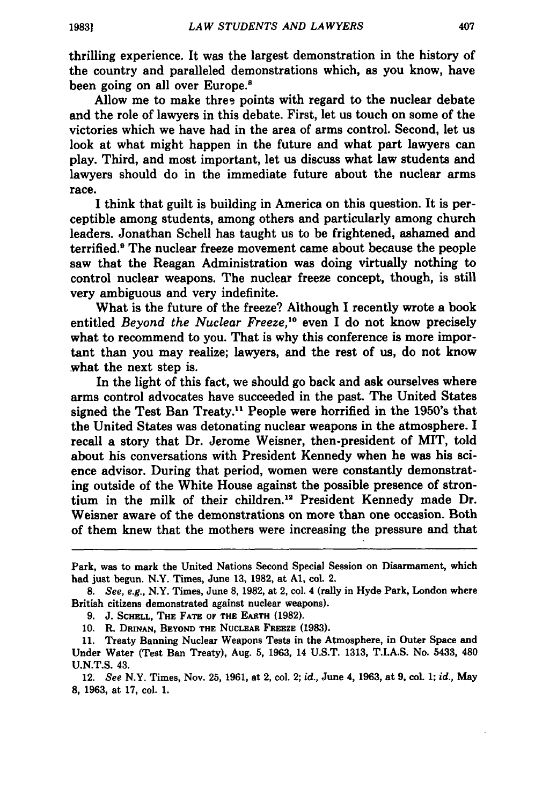thrilling experience. It was the largest demonstration in the history of the country and paralleled demonstrations which, as you know, have been going on all over Europe.<sup>8</sup>

Allow me to make thres points with regard to the nuclear debate and the role of lawyers in this debate. First, let us touch on some of the victories which we have had in the area of arms control. Second, let us look at what might happen in the future and what part lawyers can play. Third, and most important, let us discuss what law students and lawyers should do in the immediate future about the nuclear arms race.

**I** think that guilt is building in America on this question. It is perceptible among students, among others and particularly among church leaders. Jonathan Schell has taught us to be frightened, ashamed and terrified.<sup>9</sup> The nuclear freeze movement came about because the people saw that the Reagan Administration was doing virtually nothing to control nuclear weapons. The nuclear freeze concept, though, is still very ambiguous and very indefinite.

What is the future of the freeze? Although **I** recently wrote a book entitled *Beyond the Nuclear Freeze, °* even I do not know precisely what to recommend to you. That is why this conference is more important than you may realize; lawyers, and the rest of us, do not know what the next step is.

In the light of this fact, we should go back and ask ourselves where arms control advocates have succeeded in the past. The United States signed the Test Ban Treaty." People were horrified in the 1950's that the United States was detonating nuclear weapons in the atmosphere. I recall a story that Dr. Jerome Weisner, then-president of MIT, told about his conversations with President Kennedy when he was his science advisor. During that period, women were constantly demonstrating outside of the White House against the possible presence of strontium in the milk of their children.<sup>12</sup> President Kennedy made Dr. Weisner aware of the demonstrations on more than one occasion. Both of them knew that the mothers were increasing the pressure and that

Park, was to mark the United Nations Second Special Session on Disarmament, which had just begun. N.Y. Times, June 13, **1982,** at **Al,** col. 2.

*<sup>8.</sup>* See, e.g., N.Y. Times, June **8, 1982,** at 2, col. 4 (rally in Hyde Park, London where British citizens demonstrated against nuclear weapons).

**<sup>9.</sup>** J. **SCHELL, THE FATE OF THE EARTH (1982).**

**<sup>10.</sup>** R. **DRINAN, BEYOND THE NUCLEAR FREEZE (1983).**

**<sup>11.</sup>** Treaty Banning Nuclear Weapons Tests in the Atmosphere, in Outer Space and Under Water (Test Ban Treaty), Aug. **5, 1963,** 14 **U.S.T. 1313, T.I.A.S.** No. 5433, 480 **U.N.T.S.** 43.

<sup>12.</sup> *See* N.Y. Times, Nov. **25, 1961,** at 2, col. 2; *id.,* **June** 4, **1963,** at **9,** col. **1;** *id.,* May **8, 1963,** at **17,** col. **1.**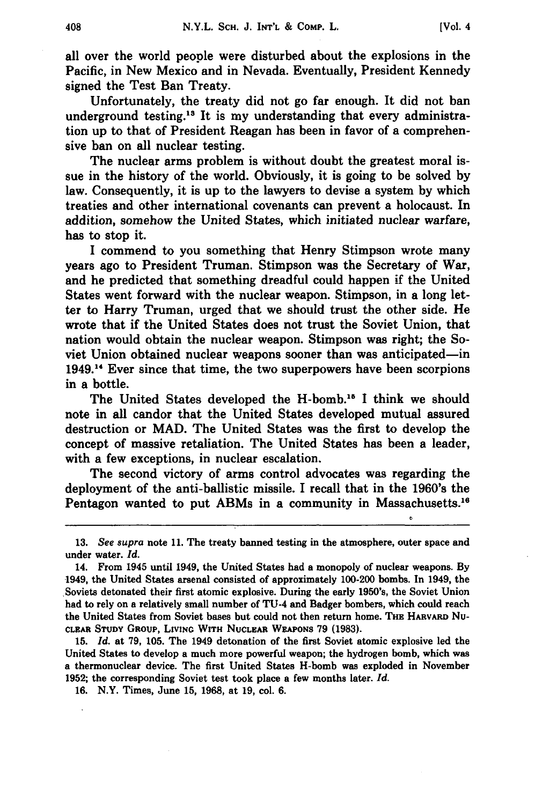all over the world people were disturbed about the explosions in the Pacific, in New Mexico and in Nevada. Eventually, President Kennedy signed the Test Ban Treaty.

Unfortunately, the treaty did not go far enough. It did not ban underground testing.13 It is my understanding that every administration up to that of President Reagan has been in favor of a comprehensive ban on all nuclear testing.

The nuclear arms problem is without doubt the greatest moral issue in the history of the world. Obviously, it is going to be solved **by** law. Consequently, it is up to the lawyers to devise a system **by** which treaties and other international covenants can prevent a holocaust. In addition, somehow the United States, which initiated nuclear warfare, has to stop it.

I commend to you something that Henry Stimpson wrote many years ago to President Truman. Stimpson was the Secretary of War, and he predicted that something dreadful could happen if the United States went forward with the nuclear weapon. Stimpson, in a long letter to Harry Truman, urged that we should trust the other side. He wrote that if the United States does not trust the Soviet Union, that nation would obtain the nuclear weapon. Stimpson was right; the Soviet Union obtained nuclear weapons sooner than was anticipated-in 1949.<sup>14</sup> Ever since that time, the two superpowers have been scorpions in a bottle.

The United States developed the H-bomb.<sup>15</sup> I think we should note in all candor that the United States developed mutual assured destruction or MAD. The United States was the first to develop the concept of massive retaliation. The United States has been a leader, with a few exceptions, in nuclear escalation.

The second victory of arms control advocates was regarding the deployment of the anti-ballistic missile. I recall that in the 1960's the Pentagon wanted to put ABMs in a community in Massachusetts.<sup>16</sup>

**15.** *Id.* at **79, 105.** The 1949 detonation of the first Soviet atomic explosive led the United States to develop a much more powerful weapon; the hydrogen bomb, which was a thermonuclear device. The first United States H-bomb was exploded in November **1952;** the corresponding Soviet test took place a few months later. *Id.*

**16.** N.Y. Times, June **15, 1968,** at **19,** col. **6.**

**<sup>13.</sup>** *See supra* note **11.** The treaty banned testing in the atmosphere, outer space and under water. *Id.*

<sup>14.</sup> From 1945 until 1949, the United States had a monopoly of nuclear weapons. **By** 1949, the United States arsenal consisted of approximately 100-200 bombs. In 1949, the Soviets detonated their first atomic explosive. During the early 1950's, the Soviet Union had to rely on a relatively small number of **TU-4** and Badger bombers, which could reach the United States from Soviet bases but could not then return home. **THE HARVARD** Nu-**CLEAR STUDY GROUP, LIVING WITH NUCLEAR WEAPONS 79 (1983).**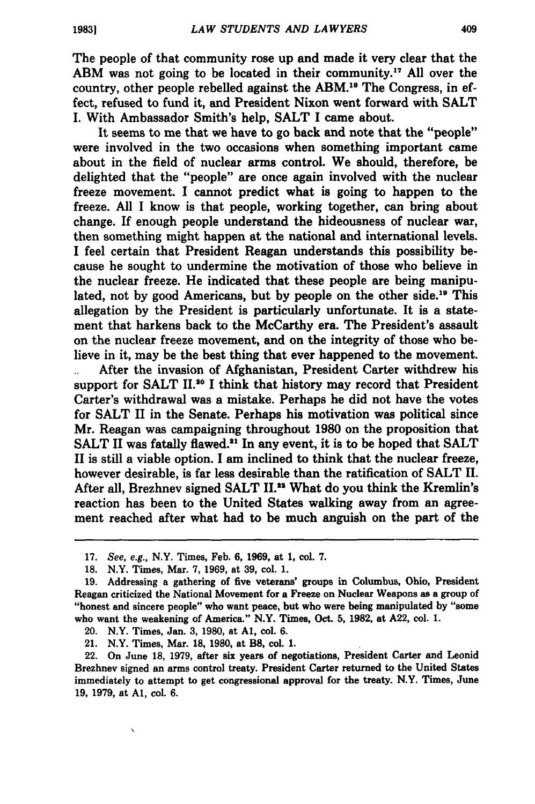409

The people of that community rose up and made it very clear that the ABM was not going to be located in their community.<sup>17</sup> All over the country, other people rebelled against the ABM.18 The Congress, in effect, refused to fund it, and President Nixon went forward with **SALT** I. With Ambassador Smith's help, **SALT** I came about.

It seems to me that we have to go back and note that the "people" were involved in the two occasions when something important came about in the field of nuclear arms control. We should, therefore, be delighted that the "people" are once again involved with the nuclear freeze movement. **I** cannot predict what is going to happen to the freeze. **All** I know is that people, working together, can bring about change. If enough people understand the hideousness of nuclear war, then something might happen at the national and international levels. **I** feel certain that President Reagan understands this possibility because he sought to undermine the motivation of those who believe in the nuclear freeze. He indicated that these people are being manipulated, not **by** good Americans, but **by** people on the other side. " This allegation **by** the President is particularly unfortunate. It is a statement that harkens back to the McCarthy era. The President's assault on the nuclear freeze movement, and on the integrity of those who believe in it, may be the best thing that ever happened to the movement.

After the invasion of Afghanistan, President Carter withdrew his support for **SALT** 11.20 **I** think that history may record that President Carter's withdrawal was a mistake. Perhaps he did not have the votes for **SALT** II in the Senate. Perhaps his motivation was political since Mr. Reagan was campaigning throughout **1980** on the proposition that **SALT II** was fatally flawed."' In any event, it is to be hoped that **SALT** II is still a viable option. **I** am inclined to think that the nuclear freeze, however desirable, is far less desirable than the ratification of **SALT II.** After all, Brezhnev signed **SALT IL.2** What do you think the Kremlin's reaction has been to the United States walking away from an agreement reached after what had to be much anguish on the part of the

Ń

**<sup>17.</sup>** See, e.g., N.Y. Times, Feb. **6, 1969,** at **1,** col. **7.**

**<sup>18.</sup>** N.Y. Times, Mar. **7, 1969,** at **39,** col. **1.**

**<sup>19.</sup>** Addressing a gathering of five veterans' groups in Columbus, Ohio, President Reagan criticized the National Movement for a Freeze on Nuclear Weapons as a group of "honest and sincere people" who want peace, but who were being manipulated **by** "some who want the weakening of America." N.Y. Times, Oct. **5, 1982,** at **A22, col. 1.**

<sup>20.</sup> N.Y. Times, Jan. **3, 1980,** at **Al,** col. **6.**

<sup>21.</sup> N.Y. Times, Mar. **18, 1980,** at B8, col. **1.**

<sup>22.</sup> On June **18, 1979,** after six years of negotiations, President Carter and Leonid Brezhnev signed an arms control treaty. President Carter returned to the United States immediately to attempt to get congressional approval for the treaty. N.Y. Times, June **19, 1979,** at **Al,** col. **6.**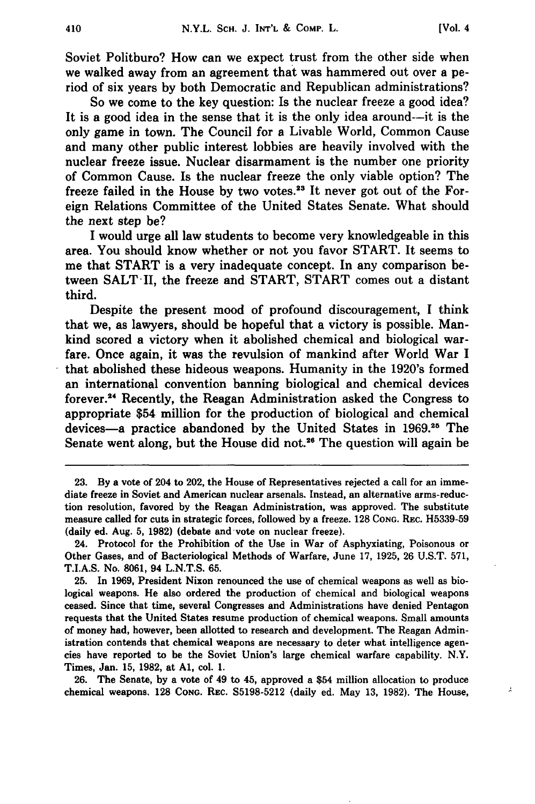$\lambda$ 

Soviet Politburo? How can we expect trust from the other side when we walked away from an agreement that was hammered out over a period of six years **by** both Democratic and Republican administrations?

So we come to the key question: Is the nuclear freeze a good idea? It is a good idea in the sense that it is the only idea around--it is the only game in town. The Council for a Livable World, Common Cause and many other public interest lobbies are heavily involved with the nuclear freeze issue. Nuclear disarmament is the number one priority of Common Cause. Is the nuclear freeze the only viable option? The freeze failed in the House by two votes.<sup>23</sup> It never got out of the Foreign Relations Committee of the United States Senate. What should the next step be?

I would urge all law students to become very knowledgeable in this area. You should know whether or not you favor START. It seems to me that START is a very inadequate concept. In any comparison between SALT II, the freeze and START, START comes out a distant third.

Despite the present mood of profound discouragement, **I** think that we, as lawyers, should be hopeful that a victory is possible. Mankind scored a victory when it abolished chemical and biological warfare. Once again, it was the revulsion of mankind after World War **I** that abolished these hideous weapons. Humanity in the 1920's formed an international convention banning biological and chemical devices forever.<sup>24</sup> Recently, the Reagan Administration asked the Congress to appropriate \$54 million for the production of biological and chemical devices-a practice abandoned by the United States in 1969.<sup>25</sup> The Senate went along, but the House did not.<sup>26</sup> The question will again be

**26.** The Senate, **by** a vote of 49 to 45, approved a \$54 million allocation to produce chemical weapons. **128 CONG. REC. S5198-5212** (daily ed. May **13, 1982).** The House,

**<sup>23.</sup> By** a vote of 204 to 202, the House of Representatives rejected a call for an immediate freeze in Soviet and American nuclear arsenals. Instead, an alternative arms-reduction resolution, favored **by** the Reagan Administration, was approved. The substitute measure called for cuts in strategic forces, followed **by** a freeze. **128 CONG.** REc. **H5339-59** (daily ed. Aug. **5, 1982)** (debate and vote on nuclear freeze).

<sup>24.</sup> Protocol for the Prohibition of the Use in War of Asphyxiating, Poisonous or Other Gases, and of Bacteriological Methods of Warfare, June **17, 1925, 26 U.S.T. 571, T.I.A.S.** No. **8061,** 94 **L.N.T.S. 65.**

**<sup>25.</sup>** In **1969,** President Nixon renounced the use of chemical weapons as well as biological weapons. He also ordered the production of chemical and biological weapons ceased. Since that time, several Congresses and Administrations have denied Pentagon requests that the United States resume production of chemical weapons. Small amounts of money had, however, been allotted to research and development. The Reagan Administration contends that chemical weapons are necessary to deter what intelligence agencies have reported **to** be the Soviet Union's large chemical warfare capability. N.Y. Times, Jan. **15, 1982,** at **Al,** col. **1.**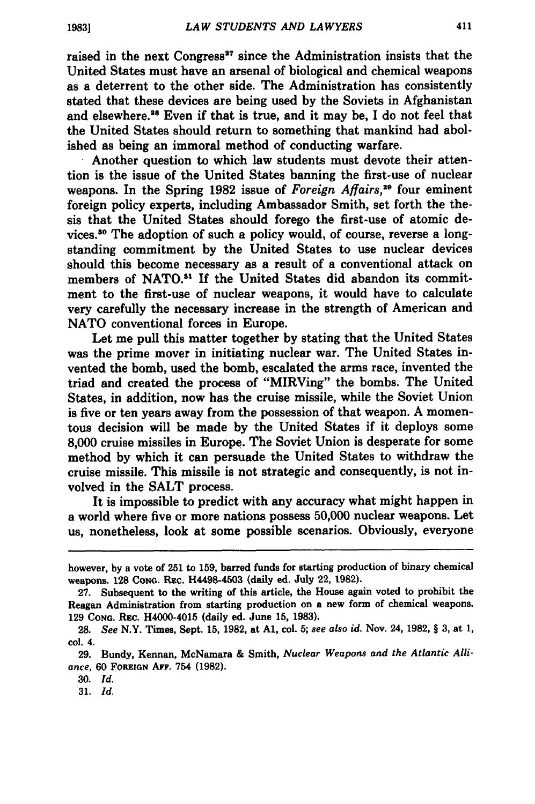raised in the next Congress<sup>27</sup> since the Administration insists that the United States must have an arsenal of biological and chemical weapons as a deterrent to the other side. The Administration has consistently stated that these devices are being used **by** the Soviets in Afghanistan and elsewhere.<sup>28</sup> Even if that is true, and it may be, I do not feel that the United States should return to something that mankind had abolished as being an immoral method of conducting warfare.

Another question to which law students must devote their attention is the issue of the United States banning the first-use of nuclear weapons. In the Spring 1982 issue of *Foreign Affairs*,<sup>29</sup> four eminent foreign policy experts, including Ambassador Smith, set forth the thesis that the United States should forego the first-use of atomic devices.<sup>30</sup> The adoption of such a policy would, of course, reverse a longstanding commitment **by** the United States to use nuclear devices should this become necessary as a result of a conventional attack on members of **NATO."1 If** the United States did abandon its commitment to the first-use of nuclear weapons, it would have to calculate very carefully the necessary increase in the strength of American and **NATO** conventional forces in Europe.

Let me pull this matter together **by** stating that the United States was the prime mover in initiating nuclear war. The United States invented the bomb, used the bomb, escalated the arms race, invented the triad and created the process of "MIRVing" the bombs. The United States, in addition, now has the cruise missile, while the Soviet Union is five or ten years away from the possession of that weapon. **A** momentous decision will be made **by** the United States if it deploys some **8,000** cruise missiles in Europe. The Soviet Union is desperate for some method **by** which it can persuade the United States to withdraw the cruise missile. This missile is not strategic and consequently, is not involved in the **SALT** process.

It is impossible to predict with any accuracy what might happen in a world where five or more nations possess **50,000** nuclear weapons. Let us, nonetheless, look at some possible scenarios. Obviously, everyone

however, **by** a vote of **251** to **159,** barred funds for starting production of binary chemical weapons. **128** CoNG. Rzc. H4498-4503 (daily ed. July 22, **1982).**

**<sup>27.</sup>** Subsequent to the writing of this article, the House again voted to prohibit the Reagan Administration from starting production on a new form of chemical weapons. **129 CONG.** REC. H4000-4015 (daily ed. June **15, 1983).**

**<sup>28.</sup>** *See* N.Y. Times, Sept. **15, 1982,** at **Al,** col. **5;** *see also id.* Nov. 24, **1982,** § **3,** at **1,** col. 4.

**<sup>29.</sup>** Bundy, Kennan, McNamara **&** Smith, *Nuclear Weapons and the Atlantic Alliance,* **60 FOREIGN AFF.** 754 **(1982).**

**<sup>30.</sup>** *Id.*

**<sup>31.</sup>** *Id.*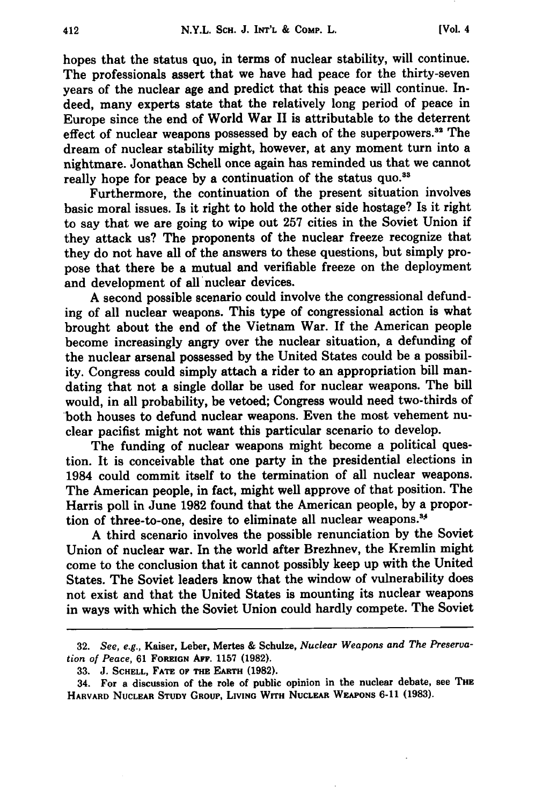hopes that the status quo, in terms of nuclear stability, will continue. The professionals assert that we have had peace for the thirty-seven years of the nuclear age and predict that this peace will continue. Indeed, many experts state that the relatively long period of peace in Europe since the end of World War II is attributable to the deterrent effect of nuclear weapons possessed by each of the superpowers.<sup>32</sup> The dream of nuclear stability might, however, at any moment turn into a nightmare. Jonathan Schell once again has reminded us that we cannot really hope for peace by a continuation of the status quo.<sup>33</sup>

Furthermore, the continuation of the present situation involves basic moral issues. Is it right to hold the other side hostage? Is it right to say that we are going to wipe out **257** cities in the Soviet Union if they attack us? The proponents of the nuclear freeze recognize that they do not have all of the answers to these questions, but simply propose that there be a mutual and verifiable freeze on the deployment and development of all nuclear devices.

**A** second possible scenario could involve the congressional defunding of all nuclear weapons. This type of congressional action is what brought about the end of the Vietnam War. If the American people become increasingly angry over the nuclear situation, a defunding of the nuclear arsenal possessed **by** the United States could be a possibility. Congress could simply attach a rider to an appropriation bill mandating that not a single dollar be used for nuclear weapons. The bill would, in all probability, be vetoed; Congress would need two-thirds of both houses to defund nuclear weapons. Even the most vehement nuclear pacifist might not want this particular scenario to develop.

The funding of nuclear weapons might become a political question. It is conceivable that one party in the presidential elections in 1984 could commit itself to the termination of all nuclear weapons. The American people, in fact, might well approve of that position. The Harris poll in June **1982** found that the American people, **by** a proportion of three-to-one, desire to eliminate all nuclear weapons.<sup>34</sup>

**A** third scenario involves the possible renunciation **by** the Soviet Union of nuclear war. In the world after Brezhnev, the Kremlin might come to the conclusion that it cannot possibly keep up with the United States. The Soviet leaders know that the window of vulnerability does not exist and that the United States is mounting its nuclear weapons in ways with which the Soviet Union could hardly compete. The Soviet

**<sup>32.</sup>** *See, e.g.,* Kaiser, Leber, Mertes **&** Schulze, *Nuclear Weapons and The Preservation of Peace,* **61 FOREIGN AFF. 1157 (1982).**

**<sup>33.</sup> J. SCHELL, FATE OF THE EARTH (1982).**

<sup>34.</sup> For a discussion of the role of public opinion in the nuclear debate, see **THE** HARVARD NUCLEAR STUDY GROUP, LIVING WITH NUCLEAR WEAPONS 6-11 (1983).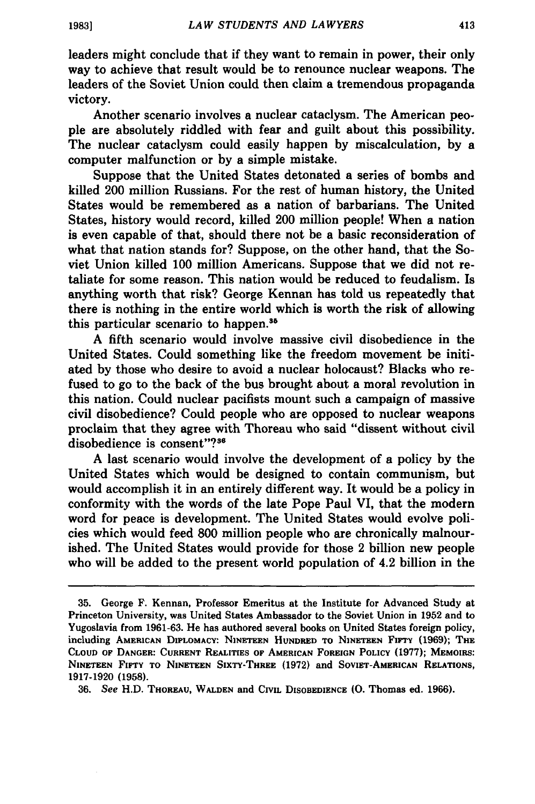leaders might conclude that if they want to remain in power, their only way to achieve that result would be to renounce nuclear weapons. The leaders of the Soviet Union could then claim a tremendous propaganda victory.

Another scenario involves a nuclear cataclysm. The American people are absolutely riddled with fear and guilt about this possibility. The nuclear cataclysm could easily happen **by** miscalculation, **by** a computer malfunction or **by** a simple mistake.

Suppose that the United States detonated a series of bombs and killed 200 million Russians. For the rest of human history, the United States would be remembered as a nation of barbarians. The United States, history would record, killed 200 million people! When a nation is even capable of that, should there not be a basic reconsideration of what that nation stands for? Suppose, on the other hand, that the Soviet Union killed 100 million Americans. Suppose that we did not retaliate for some reason. This nation would be reduced to feudalism. Is anything worth that risk? George Kennan has told us repeatedly that there is nothing in the entire world which is worth the risk of allowing this particular scenario to happen.<sup>35</sup>

A fifth scenario would involve massive civil disobedience in the United States. Could something like the freedom movement be initiated by those who desire to avoid a nuclear holocaust? Blacks who refused to go to the back of the bus brought about a moral revolution in this nation. Could nuclear pacifists mount such a campaign of massive civil disobedience? Could people who are opposed to nuclear weapons proclaim that they agree with Thoreau who said "dissent without civil disobedience is consent"?<sup>36</sup>

A last scenario would involve the development of a policy by the United States which would be designed to contain communism, but would accomplish it in an entirely different way. It would be a policy in conformity with the words of the late Pope Paul VI, that the modern word for peace is development. The United States would evolve policies which would feed 800 million people who are chronically malnourished. The United States would provide for those 2 billion new people who will be added to the present world population of 4.2 billion in the

**<sup>35.</sup>** George F. Kennan, Professor Emeritus at the Institute for Advanced Study at Princeton University, was United States Ambassador to the Soviet Union in 1952 and to Yugoslavia from **1961-63.** He has authored several books on United States foreign policy, including **AMERICAN DIPLOMACY: NINETEEN HUNDRED** TO **NINETEEN FIFTY (1969);** THE **CLOUD OF DANGER: CURRENT REALITIES** OF **AMERICAN FOREIGN POLICY (1977); MEMOIRS: NINETEEN FIFTY TO NINETEEN SIXTY-THREE (1972)** and **SOvIET-AMERICAN RELATIONS,** 1917-1920 **(1958).**

**<sup>36.</sup>** *See* H.D. **THOREAU, WALDEN** and CIVIL **DISOBEDIENCE (0.** Thomas ed. **1966).**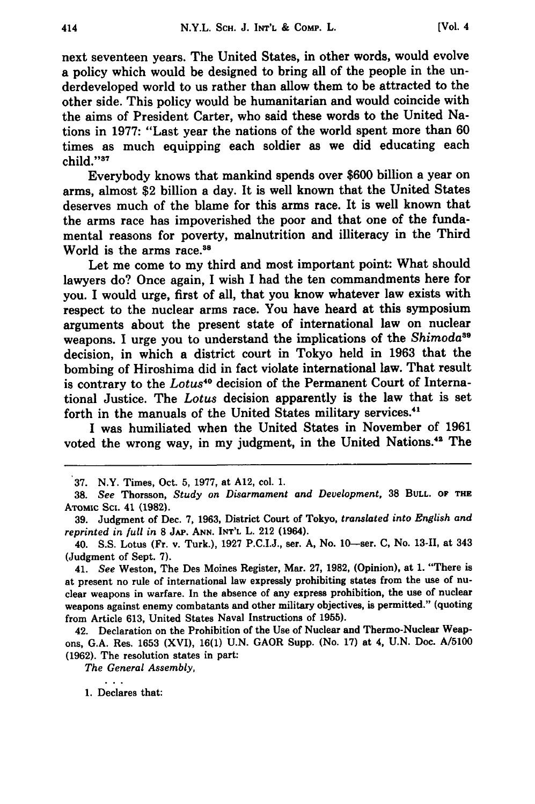next seventeen years. The United States, in other words, would evolve a policy which would be designed to bring all of the people in the underdeveloped world to us rather than allow them to be attracted to the other side. This policy would be humanitarian and would coincide with the aims of President Carter, who said these words to the United Nations in 1977: "Last year the nations of the world spent more than **60** times as much equipping each soldier as we did educating each child."<sup>37</sup>

Everybody knows that mankind spends over \$600 billion a year on arms, almost \$2 billion a day. It is well known that the United States deserves much of the blame for this arms race. It is well known that the arms race has impoverished the poor and that one of the fundamental reasons for poverty, malnutrition and illiteracy in the Third World is the arms race.<sup>38</sup>

Let me come to my third and most important point: What should lawyers do? Once again, I wish I had the ten commandments here for you. I would urge, first of all, that you know whatever law exists with respect to the nuclear arms race. You have heard at this symposium arguments about the present state of international law on nuclear weapons. I urge you to understand the implications of the *Shimoda <sup>9</sup>* decision, in which a district court in Tokyo held in **1963** that the bombing of Hiroshima did in fact violate international law. That result is contrary to the *Lotus<sup>40</sup>* decision of the Permanent Court of International Justice. The *Lotus* decision apparently is the law that is set forth in the manuals of the United States military services.<sup>41</sup>

I was humiliated when the United States in November of **1961** voted the wrong way, in my judgment, in the United Nations.42 The

*The General Assembly,*

 $\sim$   $\sim$   $\sim$ 1. Declares that:

**<sup>37.</sup>** N.Y. Times, Oct. 5, **1977,** at A12, col. 1.

**<sup>38.</sup>** *See* Thorsson, *Study on Disarmament and Development,* **38 BULL.** OF **THE ATOMIC** Sci. 41 **(1982).**

**<sup>39.</sup>** Judgment of Dec. 7, 1963, District Court of Tokyo, *translated into English and reprinted in full in* **8 JAP. ANN. INT'L** L. 212 (1964).

<sup>40.</sup> S.S. Lotus (Fr. v. Turk.), **1927** P.C.I.J., ser. A, No. 10-ser. C, No. **13-11,** at 343 (Judgment of Sept. 7).

<sup>41.</sup> *See* Weston, The Des Moines Register, Mar. **27, 1982,** (Opinion), at 1. "There is at present no rule of international law expressly prohibiting states from the use of nuclear weapons in warfare. In the absence of any express prohibition, the use of nuclear weapons against enemy combatants and other military objectives, is permitted." (quoting from Article **613,** United States Naval Instructions of **1955).**

<sup>42.</sup> Declaration on the Prohibition of the Use of Nuclear and Thermo-Nuclear Weapons, G.A. Res. **1653** (XVI), **16(1)** U.N. GAOR Supp. (No. **17)** at 4, U.N. Doc. A/5100 **(1962).** The resolution states in part: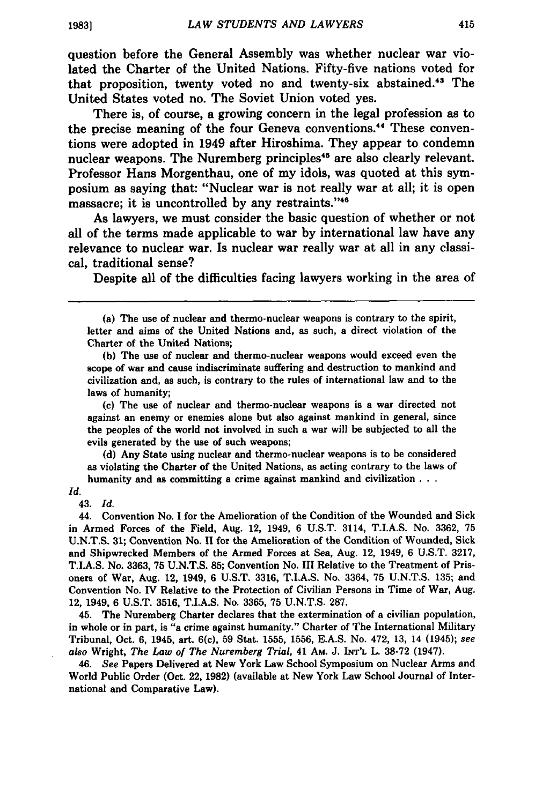question before the General Assembly was whether nuclear war violated the Charter of the United Nations. Fifty-five nations voted for that proposition, twenty voted no and twenty-six abstained.<sup>43</sup> The United States voted no. The Soviet Union voted yes.

There is, of course, a growing concern in the legal profession as to the precise meaning of the four Geneva conventions. 44 These conventions were adopted in 1949 after Hiroshima. They appear to condemn nuclear weapons. The Nuremberg principles<sup>46</sup> are also clearly relevant. Professor Hans Morgenthau, one of my idols, was quoted at this symposium as saying that: "Nuclear war is not really war at all; it is open massacre; it is uncontrolled **by** any restraints."4

As lawyers, we must consider the basic question of whether or not all of the terms made applicable to war **by** international law have any relevance to nuclear war. Is nuclear war really war at all in any classical, traditional sense?

Despite all of the difficulties facing lawyers working in the area of

**(b)** The use of nuclear and thermo-nuclear weapons would exceed even the scope of war and cause indiscriminate suffering and destruction to mankind and civilization and, as such, is contrary to the rules of international law and **to** the laws of humanity;

**(c)** The use of nuclear and thermo-nuclear weapons is a war directed not against an enemy or enemies alone but also against mankind in general, since the peoples of the world not involved in such a war will be subjected to all the evils generated **by** the use of such weapons;

**(d)** Any State using nuclear and thermo-nuclear weapons is to **be** considered as violating the Charter of the United Nations, as acting contrary to the laws of humanity and as committing a crime against mankind and civilization **.**

#### *Id.*

43. *Id.*

44. Convention No. I for the Amelioration of the Condition of the Wounded and Sick in Armed Forces of the Field, Aug. 12, 1949, **6 U.S.T.** 3114, T.I.A.S. No. **3362, 75 U.N.T.S. 31;** Convention No. **11** for the Amelioration of the Condition of Wounded, Sick and Shipwrecked Members of the Armed Forces at Sea, Aug. 12, 1949, **6 U.S.T. 3217,** T.I.A.S. No. **3363, 75 U.N.T.S. 85;** Convention No. **III** Relative to the Treatment of Prisoners of War, Aug. 12, 1949, **6 U.S.T. 3316, T.I.A.S.** No. 3364, **75 U.N.T.S. 135;** and Convention No. IV Relative to the Protection of Civilian Persons in Time of War, Aug. 12, 1949, **6 U.S.T. 3516,** T.I.A.S. No. **3365, 75 U.N.T.S. 287.**

45. The Nuremberg Charter declares that the extermination of a civilian population, in whole or in part, is "a crime against humanity." Charter of The International Military Tribunal, Oct. **6,** 1945, art. 6(c), **59** Stat. **1555, 1556, E.A.S.** No. 472, **13,** 14 (1945); *see also* Wright, *The Law of The Nuremberg Trial,* 41 AM. **J. INT'L** L. **38-72** (1947).

46. *See* Papers Delivered at New York Law School Symposium on Nuclear Arms and World Public Order (Oct. 22, **1982)** (available at New York Law School Journal of International and Comparative Law).

<sup>(</sup>a) The use of nuclear and thermo-nuclear weapons is contrary to the spirit, letter and aims of the United Nations and, as such, a direct violation of the Charter of the United Nations;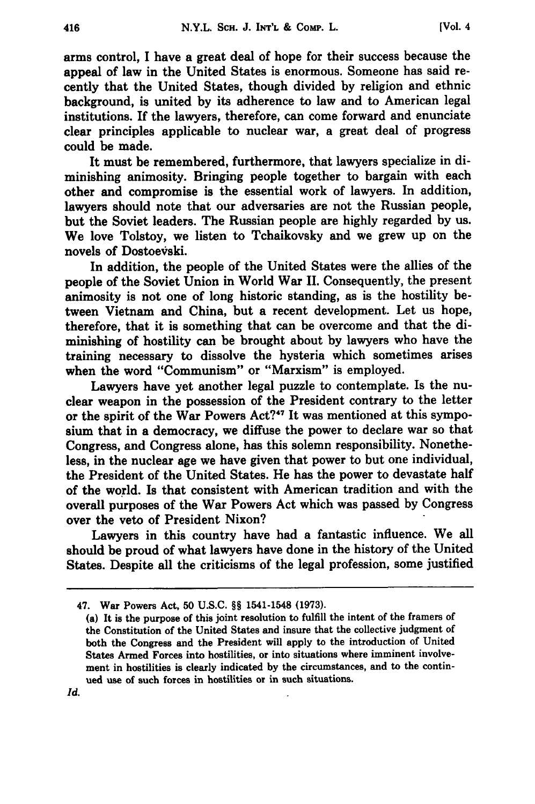arms control, I have a great deal of hope for their success because the appeal of law in the United States is enormous. Someone has said recently that the United States, though divided by religion and ethnic background, is united by its adherence to law and to American legal institutions. If the lawyers, therefore, can come forward and enunciate clear principles applicable to nuclear war, a great deal of progress could be made.

It must be remembered, furthermore, that lawyers specialize in diminishing animosity. Bringing people together to bargain with each other and compromise is the essential work of lawyers. In addition, lawyers should note that our adversaries are not the Russian people, but the Soviet leaders. The Russian people are highly regarded by us. We love Tolstoy, we listen to Tchaikovsky and we grew up on the novels of Dostoevski.

In addition, the people of the United States were the allies of the people of the Soviet Union in World War **II.** Consequently, the present animosity is not one of long historic standing, as is the hostility between Vietnam and China, but a recent development. Let us hope, therefore, that it is something that can be overcome and that the diminishing of hostility can be brought about by lawyers who have the training necessary to dissolve the hysteria which sometimes arises when the word "Communism" or "Marxism" is employed.

Lawyers have yet another legal puzzle to contemplate. Is the nuclear weapon in the possession of the President contrary to the letter or the spirit of the War Powers Act?<sup>47</sup> It was mentioned at this symposium that in a democracy, we diffuse the power to declare war so that Congress, and Congress alone, has this solemn responsibility. Nonetheless, in the nuclear age we have given that power to but one individual, the President of the United States. He has the power to devastate half of the world. Is that consistent with American tradition and with the overall purposes of the War Powers Act which was passed **by** Congress over the veto of President Nixon?

Lawyers in this country have had a fantastic influence. We all should be proud of what lawyers have done in the history of the United States. Despite all the criticisms of the legal profession, some justified

Id.

<sup>47.</sup> War Powers Act, **50 U.S.C.** §§ 1541-1548 **(1973).**

<sup>(</sup>a) It is the purpose of this joint resolution to fulfill the intent of the framers of the Constitution of the United States and insure that the collective judgment of both the Congress and the President will apply to the introduction of United States Armed Forces into hostilities, or into situations where imminent involvement in hostilities is clearly indicated **by** the circumstances, and to the continued use of such forces in hostilities or in such situations.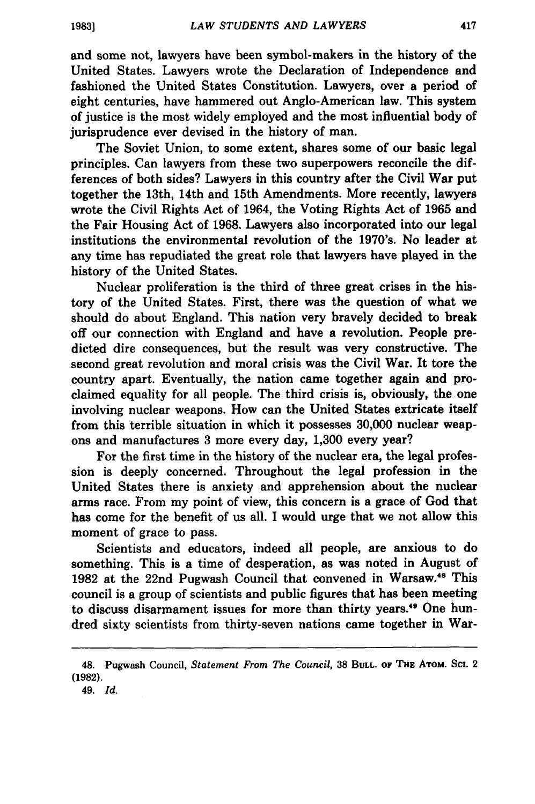**19831**

and some not, lawyers have been symbol-makers in the history of the United States. Lawyers wrote the Declaration of Independence and fashioned the United States Constitution. Lawyers, over a period of eight centuries, have hammered out Anglo-American law. This system of justice is the most widely employed and the most influential body of jurisprudence ever devised in the history of man.

The Soviet Union, to some extent, shares some of our basic legal principles. Can lawyers from these two superpowers reconcile the differences of both sides? Lawyers in this country after the Civil War put together the 13th, 14th and 15th Amendments. More recently, lawyers wrote the Civil Rights Act of 1964, the Voting Rights Act of **1965** and the Fair Housing Act of **1968.** Lawyers also incorporated into our legal institutions the environmental revolution of the 1970's. No leader at any time has repudiated the great role that lawyers have played in the history of the United States.

Nuclear proliferation is the third of three great crises in the history of the United States. First, there was the question of what we should do about England. This nation very bravely decided to break off our connection with England and have a revolution. People predicted dire consequences, but the result was very constructive. The second great revolution and moral crisis was the Civil War. It tore the country apart. Eventually, the nation came together again and proclaimed equality for all people. The third crisis is, obviously, the one involving nuclear weapons. How can the United States extricate itself from this terrible situation in which it possesses **30,000** nuclear weapons and manufactures **3** more every day, **1,300** every year?

For the first time in the history of the nuclear era, the legal profession is deeply concerned. Throughout the legal profession in the United States there is anxiety and apprehension about the nuclear arms race. From my point of view, this concern is a grace of God that has come for the benefit of us all. I would urge that we not allow this moment of grace to pass.

Scientists and educators, indeed all people, are anxious to do something. This is a time of desperation, as was noted in August of **1982** at the 22nd Pugwash Council that convened in Warsaw.48 This council is a group of scientists and public figures that has been meeting to discuss disarmament issues for more than thirty years.<sup>49</sup> One hundred sixty scientists from thirty-seven nations came together in War-

<sup>48.</sup> Pugwash Council, *Statement From The Council,* **38 BULL.** OF **THE ATOM.** Sci. 2 **(1982).**

<sup>49.</sup> *Id.*